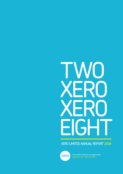# two  $\blacksquare$ xero EIGHT

### Xero limited annual report 2008



The world's easiest accounting system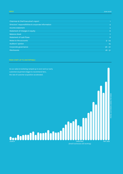| Chairman & Chief Executive's report                 | $\mathbf{1}$   |
|-----------------------------------------------------|----------------|
| Directors' responsibilities & corporate information | $\overline{4}$ |
| Income statement                                    | 5 <sup>1</sup> |
| Statement of changes in equity                      | $6^{\circ}$    |
| <b>Balance sheet</b>                                | 7 <sup>1</sup> |
| Statement of cash flows                             | 8 <sup>°</sup> |
| Notes to the accounts                               | $9 - 24$       |
| Auditors' opinion                                   | 25             |
| Corporate governance                                | $26 - 27$      |
| <b>Disclosures</b>                                  | $28 - 31$      |
|                                                     |                |

### from start-up to unstoppable

As our sales & marketing ramped up in 2007 and our early customers & partners began to recommend Xero, the rate of customer acquisition accelerated.

### PAYING CUSTOMERS ADDED PER WEEK Paying customers added per week LAUNCH may 2008 christmas(Small businesses still working)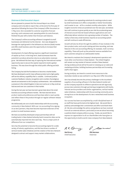### **Chairman & Chief Executive's Report**

We are pleased to present this first Annual Report as a listed company and to be able to report that, at the end of its first year of operations following the issue of the Company's Offer Document on 11 May 2007, Xero exceeded its customer acquisition forecast securing 1,406 customers and, operating within its costs forecast, finished the year with a better than forecast cash balance.

The Company's online accounting software is targeted at small businesses and delivered via the internet. Xero was designed to leverage the rapid growth in the Software as a Service (SaaS) market and offer small business users the opportunity to increase their productivity.

Development of a SaaS offering requires a significant investment of capital up-front. In the long-term, SaaS businesses have the potential to produce attractive returns as subscription revenues grow. We believed the best way of capturing the international market opportunity was to secure the capital required to build a global business. This was done through the initial public offering and NZX listing.

The Company has laid the foundations to become a market leader. We have developed a world-class software product and a high quality self-service delivery capability that is scalable. Continued positive customer feedback, industry recognition and a number of prestigious awards are testament to the Company's achievements. Xero established a presence in the United Kingdom in late 2007 and as at 10 May 2008 we had secured over 200 customers in that market.

During the last year we have learned a great deal about the small business accounting software market. We have learned about product needs and preferences and have been able to react quickly and reflect these in the product through our regular software release programme.

We deliberately set out to build relationships with the accounting community in New Zealand. With over 100 accounting firms signing on as Xero partners, they have become important endorsers of the product to small business owners.

We have successfully developed unique partnerships with all trading banks in New Zealand whereby bank transaction data can be automatically imported into Xero each day. This is a major point of difference from our competitors.

Xero has the potential to become the accounting engine for a wide variety of industry applications, and this has driven a number of vertical market sales initiatives and the creation of the Xero Network designed to attract and support many market collaborations.

Our software is an appealing substitute for existing products used by small businesses as it offers comparable or better functionality and is easier to use – all for a modest monthly subscription. While tougher economic times are predicted over the next year, we believe Xero will continue to grow quickly as we ride the accelerating wave of interest around internet-based software applications and costeffectively deliver solutions into a growing number of markets. The reality is that every small business requires an accounting system and will continue to seek efficiencies.

Growth will also be driven through the addition of new modules in the Xero product suite, such as job costing and time recording, and new features in the core accounting offering, for example, multi-currency capability. These will push up the potential revenue available from each customer and grow our addressable market.

We intend to maintain the Company's development operation and most other core functions in New Zealand. The United Kingdom will remain our key market of interest outside of New Zealand during 2008/09 and we will be focused on ramping up our sales and marketing activities, building business partnerships and increasing staff in that region.

During 2008/09, we intend to commit more resources to the Australian market as was outlined in our May 2007 Offer Document.

Xero has already become the primary challenger to the incumbent suppliers of accounting software in the New Zealand market and as the Company expands its offshore operations we will vigorously pursue new customers through partnering arrangements with banks, Internet service providers and similar organisations, vertical market sales initiatives, relationships with the accounting community and a strong focus on the development of a Xero-networked small business ecosystem.

Our success has been accomplished by a multi-disciplined team of 50 staff that have performed at the highest level. We would like to publicly acknowledge their commitment and effort and thank them all. We also acknowledge the advice and guidance we have received from all our external advisors, particularly as we set about becoming a publicly listed company while so young. Finally, we would like to express our appreciation to all our shareholders who have given us the opportunity to build a world-class company from New Zealand.

 $RKQ$ 

P hormon

**Rod Drury** Chief Executive

**Phil Norman** Chairman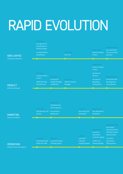## RAPID EVOLUTION

| <b>XERO LIMITED</b><br>Company milestones       | April 2007<br>Xero goes from<br>private beta to<br>limited release<br><b>Auckland office</b><br>established |                                                                                                  | <b>June 2007</b><br>Xero IPO                         |                                                             | August 2007<br>General release<br>of Xero                                                                            | September 2007<br>204 customers<br>& 52 accounting<br>partners                                                                       |
|-------------------------------------------------|-------------------------------------------------------------------------------------------------------------|--------------------------------------------------------------------------------------------------|------------------------------------------------------|-------------------------------------------------------------|----------------------------------------------------------------------------------------------------------------------|--------------------------------------------------------------------------------------------------------------------------------------|
| <b>PRODUCT</b><br>Software releases             | April 2007<br>Limited release<br>of Xero<br><b>Added Getting</b><br><b>Started tours</b>                    | May 2007<br>Introduced<br><b>Budget Manager</b><br>capabilities                                  | <b>June 2007</b><br><b>Added Contacts</b><br>Manager |                                                             | August 2007<br>General release<br>of Xero<br>Introduced<br>My Xero<br>Introduced<br>Repeating<br><b>Transactions</b> | September 2007<br>Introduced self-<br>learning bank<br>reconciliation                                                                |
| <b>MARKETING</b><br><b>Online and offline</b>   | April 2007<br>Official Xero.com<br>launch                                                                   | May 2007<br><b>Published Xero</b><br><b>IPO Prospectus</b><br>Accountants'<br><b>Big Day Out</b> |                                                      | <b>July 2007</b><br><b>Microsoft Case</b><br>Study (NZ)     | August 2007<br><b>Xero Revolution</b><br>Roadshow                                                                    |                                                                                                                                      |
| <b>OPERATIONS</b><br>Infrastructure and support | April 2007<br>Automated bank<br>feeds from ASB                                                              | May 2007<br>Launched project<br>tracking system                                                  |                                                      | <b>July 2007</b><br>Launched<br>customer<br>tracking system | August 2007<br>Launched<br>automated<br>customer signup<br>Credit card<br>billing available                          | September 2007<br>Automated<br>bank feeds from<br>Kiwibank, ANZ &<br><b>National Bank</b><br>Launched<br>automated<br>billing system |
|                                                 |                                                                                                             |                                                                                                  |                                                      |                                                             |                                                                                                                      |                                                                                                                                      |

Online

Softwa

**XERC** Compa

Infrast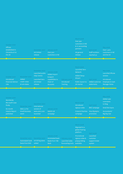| October 2007<br><b>Offices</b><br>established in<br>Christchurch &<br>the UK                            |                                                                | December 2007<br><b>UK</b> limited<br>release                                                                  | January 2008<br>Over 500<br>customers in NZ                                                       |                                                      | March 2008<br>Over 950<br>customers in NZ<br>& 111 accounting<br>partners<br><b>UK</b> general<br>release                 | April 2008<br><b>Staff numbers</b><br>reached 50                       | May 2008<br><b>Over 1,400</b><br>customers in NZ<br>and the UK                                                       |
|---------------------------------------------------------------------------------------------------------|----------------------------------------------------------------|----------------------------------------------------------------------------------------------------------------|---------------------------------------------------------------------------------------------------|------------------------------------------------------|---------------------------------------------------------------------------------------------------------------------------|------------------------------------------------------------------------|----------------------------------------------------------------------------------------------------------------------|
| October 2007<br>Introduced<br><b>Financial Advisor</b><br>role                                          | November 2007<br>Added<br>credit notes<br>& lock dates         | December 2007<br>Launched public<br><b>Help Centre</b><br><b>Launched Xero</b><br><b>UK limited</b><br>release | January 2008<br><b>Added import</b><br>& export<br>capabilities to<br>Chart of<br><b>Accounts</b> | February 2008<br>Introduced<br>Tracking              | March 2008<br>Launched Xero<br><b>Network</b><br><b>Added Setup</b><br>Wizard<br>Public launch to<br><b>UK</b> market     | April 2008<br><b>Added customer</b><br>statements                      | May 2008<br><b>Launched iPhone</b><br>version<br>Introduced<br>Employee & Cash<br><b>Manager Roles</b>               |
| October 2007<br>Worldwide<br><b>Microsoft Case</b><br>Study<br>Six month<br>Interim Report<br>published | November 2007<br>Web 2.0 for<br><b>Small Business</b><br>event | December 2007<br>International<br>version of<br>www.xero.com<br>launched                                       | January 2008<br>Switch o8<br>campaign                                                             |                                                      | March 2008<br>Introduced<br>signup codes<br><b>Clubs &amp; Charities</b><br>campaign                                      | April 2008<br><b>BNZ</b> campaign<br><b>Visa Olympics</b><br>promotion | May 2008<br><b>Added user</b><br>comments<br>to blog<br><b>Small Biz Expos</b><br>Accountants'<br><b>Big Day Out</b> |
|                                                                                                         | November 2007<br><b>Automated bank</b><br>feeds from BNZ       | December 2007<br>UK billing plans<br>added                                                                     | January 2008<br><b>Automated bank</b><br>feeds from TSB<br><b>Bank</b>                            | February 2008<br>Launched sales<br>forecasting tools | March 2008<br>Migrated to a<br>global hosting<br>platform<br>Promotional<br>signup codes &<br>prepay billing<br>available | <b>April 2008</b><br>Launched<br>customer<br>support ticket<br>system  |                                                                                                                      |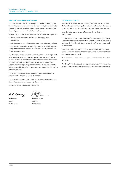### **Directors' responsibilities statement**

The Financial Reporting Act 1993 requires the Directors to prepare financial statements for each financial year which give a true and fair view of the financial position of the Company and Group and of the financial performance and cash flows for that period.

In preparing those financial statements, the Directors are required to:

- select suitable accounting policies and then apply them consistently;
- make judgements and estimates that are reasonable and prudent;
- state whether applicable accounting standards have been followed, subject to any material departures disclosed and explained in the financial statements.

The Directors are responsible for keeping proper accounting records which disclose with reasonable accuracy at any time the financial position of the Group and to enable them to ensure that the financial statements comply with the Companies Act 1993. They are also responsible for safeguarding the assets of the Group and hence for taking reasonable steps for the prevention and detection of fraud and other irregularities.

The Directors have pleasure in presenting the following financial statements for the year ended 31 March 2008.

The Board of Directors of the Company and Group authorised these financial statements for issue on 13 May 2008.

For and on behalf of the Board of Directors

 $R$   $2$   $4$ 

**Rod Drury** Director 13 May 2008

**Graham Shaw** Director 13 May 2008

### **Corporate information**

Xero Limited is a New Zealand Company registered under the New Zealand Companies Act 1993. The registered office of the Company is Level 1, Old Bank, 98 Customhouse Quay, Wellington, New Zealand.

Xero Limited changed its name from Xero Live Limited on 30 April 2008.

The financial statements presented are for Xero Limited (the 'Parent Company') and its subsidiaries which comprise Xero Live Limited (UK) and Xero Live Pty Limited, (together 'the Group') for the year ended 31 March 2008.

Comparative information is for the 9 month period ended 31 March 2007. There were no subsidiaries for this period, therefore no Group comparatives are required.

Xero Limited is an issuer for the purposes of the Financial Reporting Act 1993.

The Group's principal activity is the provision of a platform for online accounting & business services to small & medium sized enterprises.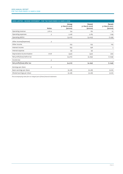| XERO LIMITED - INCOME STATEMENT - FOR THE YEAR ENDED 31 MARCH 2008 |              |                                         |                                          |                                          |  |  |
|--------------------------------------------------------------------|--------------|-----------------------------------------|------------------------------------------|------------------------------------------|--|--|
|                                                                    | <b>Notes</b> | Group<br>31 March 2008<br>$(s$ ooos $)$ | Parent<br>31 March 2008<br>$(s$ ooos $)$ | Parent<br>31 March 2007<br>$(s$ ooos $)$ |  |  |
| Operating revenue                                                  | 3 & 14       | 134                                     | 162                                      | 10                                       |  |  |
| Operating expenses                                                 | 3            | 5,146                                   | 5,165                                    | 1,149                                    |  |  |
| Operating deficit                                                  |              | (5,012)                                 | (5,003)                                  | (1, 139)                                 |  |  |
| Other income/(expenses)                                            | 3            |                                         |                                          |                                          |  |  |
| Other income                                                       |              | 255                                     | 255                                      | 105                                      |  |  |
| Interest income                                                    |              | 793                                     | 798                                      | 5                                        |  |  |
| Interest expense                                                   |              | (4)                                     | (4)                                      |                                          |  |  |
| Depreciation & amortisation                                        | 7 & 8        | (342)                                   | (341)                                    | (20)                                     |  |  |
| Net profit/(loss) before tax                                       |              | (4,310)                                 | (4, 295)                                 | (1,049)                                  |  |  |
| Income tax                                                         | 4            |                                         |                                          |                                          |  |  |
| Net profit/(loss) after tax                                        |              | (4,310)                                 | (4, 295)                                 | (1,049)                                  |  |  |
| Earnings per share                                                 | 6            |                                         |                                          |                                          |  |  |
| Basic earnings per share                                           |              | (0.08)                                  | (0.08)                                   | (0.61)                                   |  |  |
| Diluted earnings per share                                         |              | (0.08)                                  | (0.08)                                   | (0.61)                                   |  |  |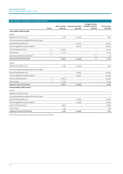| XERO LIMITED - STATEMENT OF CHANGES IN EQUITY  |              |                                |                                           |                                                          |                                      |
|------------------------------------------------|--------------|--------------------------------|-------------------------------------------|----------------------------------------------------------|--------------------------------------|
|                                                | <b>Notes</b> | Share capital<br>$(s$ ooos $)$ | <b>Retained earnings</b><br>$(s$ ooos $)$ | Foreign currency<br>translation reserve<br>$(s$ ooos $)$ | <b>Total equity</b><br>$(s$ ooos $)$ |
| Year ended 31 March 2008                       |              |                                |                                           |                                                          |                                      |
| Group                                          |              |                                |                                           |                                                          |                                      |
| Balance at 31 March 2007                       |              | 2,781                          | (1,049)                                   | J.                                                       | 1,732                                |
| Income & expense recognised directly in equity |              |                                |                                           |                                                          |                                      |
| Net profit/(loss) after tax                    |              |                                | (4,310)                                   |                                                          | (4,310)                              |
| Total recognised income & expense              |              |                                | (4,310)                                   |                                                          | (4,310)                              |
| Issue of ordinary shares                       | 5            | 15,000                         |                                           |                                                          | 15,000                               |
| Cost of issue                                  | 5            | (1, 111)                       |                                           |                                                          | (1, 111)                             |
| Currency translation movements                 | 5            |                                |                                           | 10 <sup>°</sup>                                          | 10 <sup>2</sup>                      |
| Equity at the end of the year                  |              | 16,670                         | (5,359)                                   | 10                                                       | 11,321                               |
| Parent                                         |              |                                |                                           |                                                          |                                      |
| Balance at 31 March 2007                       |              | 2,781                          | (1,049)                                   | L,                                                       | 1,732                                |
| Income & expense recognised directly in equity |              |                                |                                           |                                                          |                                      |
| Net profit/(loss) after tax                    |              | $\overline{a}$                 | (4, 295)                                  | $\overline{a}$                                           | (4, 295)                             |
| Total recognised income & expense              |              |                                | (4, 295)                                  |                                                          | (4, 295)                             |
| Issue of ordinary shares                       | 5            | 15,000                         |                                           |                                                          | 15,000                               |
| Cost of issue                                  | 5            | (1, 111)                       |                                           |                                                          | (1, 111)                             |
| Equity at the end of the year                  |              | 16,670                         | (5, 344)                                  | ÷,                                                       | 11,326                               |
| Period ended 31 March 2007                     |              |                                |                                           |                                                          |                                      |
| Parent                                         |              |                                |                                           |                                                          |                                      |
| Balance at 31 March 2006                       |              |                                |                                           |                                                          |                                      |
| Income & expense recognised directly in equity |              |                                |                                           | ٠                                                        |                                      |
| Net profit/(loss) after tax                    |              |                                | (1,049)                                   | ٠                                                        | (1,049)                              |
| Total recognised income & expense              |              |                                | (1,049)                                   | $\overline{a}$                                           | (1,049)                              |
| Issue of ordinary shares                       |              | 2,800                          |                                           | L,                                                       | 2,800                                |
| Cost of issue                                  |              | (19)                           |                                           | L,                                                       | (19)                                 |
| Equity at the end of the period                |              | 2,781                          | (1,049)                                   | ÷                                                        | 1,732                                |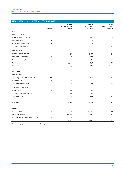| XERO LIMITED - BALANCE SHEET - AS AT 31 MARCH 2008 |                  |                                         |                                          |                                                 |
|----------------------------------------------------|------------------|-----------------------------------------|------------------------------------------|-------------------------------------------------|
|                                                    | <b>Notes</b>     | Group<br>31 March 2008<br>$(s$ ooos $)$ | Parent<br>31 March 2008<br>$(s$ ooos $)$ | <b>Parent</b><br>31 March 2007<br>$(s$ ooos $)$ |
| <b>Assets</b>                                      |                  |                                         |                                          |                                                 |
| Non-current assets                                 |                  |                                         |                                          |                                                 |
| Property, plant & equipment                        | $\boldsymbol{7}$ | 472                                     | 460                                      | 286                                             |
| Intangible assets                                  | 8                | 1,065                                   | 1,065                                    | 39                                              |
| Other non-current assets                           | 9                | 387                                     | 387                                      |                                                 |
| Total non-current assets                           |                  | 1,924                                   | 1,912                                    | 325                                             |
| <b>Current</b> assets                              |                  |                                         |                                          |                                                 |
| Cash & cash equivalents                            |                  | 9,517                                   | 9,471                                    | 1,514                                           |
| Current tax receivable                             | 4                | 210                                     | 210                                      | $\overline{2}$                                  |
| Trade receivables & other assets                   | 9                | 228                                     | 167                                      | 165                                             |
| Total current assets                               |                  | 9,955                                   | 9,848                                    | 1,681                                           |
| <b>Total assets</b>                                |                  | 11,879                                  | 11,760                                   | 2,006                                           |
| <b>Liabilities</b><br><b>Current liabilities</b>   |                  |                                         |                                          |                                                 |
| Trade payables & other liabilities                 | 10 <sup>1</sup>  | 532                                     | 408                                      | 243                                             |
| Finance lease                                      | 11               | 6                                       | 6                                        | 4                                               |
| <b>Total current liabilities</b>                   |                  | 538                                     | 414                                      | 247                                             |
| Non-current liabilities                            |                  |                                         |                                          |                                                 |
| Finance lease                                      | 11               | 20                                      | 20                                       | 27                                              |
| Total non-current liabilities                      |                  | 20                                      | 20                                       | 27                                              |
| <b>Total liabilities</b>                           |                  | 558                                     | 434                                      | 274                                             |
| <b>Net assets</b>                                  |                  | 11,321                                  | 11,326                                   | 1,732                                           |
| <b>Equity</b>                                      |                  |                                         |                                          |                                                 |
| Share capital                                      | $\sqrt{5}$       | 16,670                                  | 16,670                                   | 2,781                                           |
| Retained earnings                                  |                  | (5,359)                                 | (5, 344)                                 | (1,049)                                         |
| Foreign currency translation reserve               | 5                | 10                                      |                                          |                                                 |
|                                                    |                  | 11,321                                  | 11,326                                   | 1,732                                           |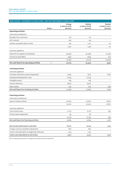| XERO LIMITED - STATEMENT OF CASH FLOWS - FOR THE YEAR ENDED 31 MARCH 2008 |                |                                         |                                                 |                                                 |  |  |
|---------------------------------------------------------------------------|----------------|-----------------------------------------|-------------------------------------------------|-------------------------------------------------|--|--|
|                                                                           | <b>Notes</b>   | Group<br>31 March 2008<br>$(s$ ooos $)$ | <b>Parent</b><br>31 March 2008<br>$(s$ ooos $)$ | <b>Parent</b><br>31 March 2007<br>$(s$ ooos $)$ |  |  |
| <b>Operating activities</b>                                               |                |                                         |                                                 |                                                 |  |  |
| Cash was provided from                                                    |                |                                         |                                                 |                                                 |  |  |
| Receipts from customers                                                   |                | 130                                     | 125                                             |                                                 |  |  |
| <b>GST</b> received                                                       |                | 202                                     | 195                                             |                                                 |  |  |
| Interest received & other income                                          |                | 975                                     | 1,017                                           | 97                                              |  |  |
|                                                                           |                | 1,307                                   | 1,337                                           | 97                                              |  |  |
| Cash was applied to                                                       |                |                                         |                                                 |                                                 |  |  |
| Payments to suppliers & employees                                         |                | (4, 947)                                | (5,036)                                         | (1, 033)                                        |  |  |
| Income tax paid (RWT)                                                     |                | (235)                                   | (235)                                           | (17)                                            |  |  |
|                                                                           |                | (5, 182)                                | (5,271)                                         | (1,050)                                         |  |  |
| Net cash flows from operating activities                                  | $\overline{2}$ | (3, 875)                                | (3,934)                                         | (953)                                           |  |  |
| <b>Investing activities</b><br>Cash was applied to                        |                |                                         |                                                 |                                                 |  |  |
| Purchase of property, plant & equipment                                   |                | (330)                                   | (317)                                           | (275)                                           |  |  |
| Capitalised development costs                                             |                | (1, 215)                                | (1, 215)                                        |                                                 |  |  |
| Intangible assets                                                         |                | (19)                                    | (19)                                            |                                                 |  |  |
| Loans to directors                                                        |                | (300)                                   | (300)                                           |                                                 |  |  |
| Other assets                                                              |                | (75)                                    | (75)                                            | (39)                                            |  |  |
| Net cash flows from investing activities                                  |                | (1,939)                                 | (1, 926)                                        | (314)                                           |  |  |
| <b>Financing activities</b><br>Cash was provided from                     |                |                                         |                                                 |                                                 |  |  |
| Issue of ordinary shares                                                  |                | 15,000                                  | 15,000                                          | 2,800                                           |  |  |
|                                                                           |                | 15,000                                  | 15,000                                          | 2,800                                           |  |  |
| Cash was applied to                                                       |                |                                         |                                                 |                                                 |  |  |
| Cost of share issue                                                       |                | (1, 111)                                | (1, 111)                                        | (19)                                            |  |  |
| Finance lease repayments                                                  |                | (5)                                     | (5)                                             |                                                 |  |  |
|                                                                           |                | (1, 116)                                | (1, 116)                                        | (19)                                            |  |  |
| Net cash flows from financing activities                                  |                | 13,884                                  | 13,884                                          | 2,781                                           |  |  |
| Net increase (decrease) in cash held                                      |                | 8,070                                   | 8,024                                           | 1,514                                           |  |  |
| Foreign currency translation adjustment                                   |                | (67)                                    | (67)                                            |                                                 |  |  |
| Cash & cash equivalents at beginning of the year                          |                | 1,514                                   | 1,514                                           |                                                 |  |  |
| Cash & cash equivalents at end of year                                    |                | 9,517                                   | 9,471                                           | 1,514                                           |  |  |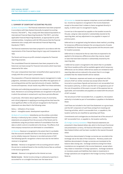### **Notes to the financial statements**

### **1. SUMMARY OF SIGNIFICANT ACCOUNTING policies**

(a) Basis of preparation The financial statements have been prepared in accordance with New Zealand Generally Accepted Accounting Practice ("NZ GAAP"). They comply with New Zealand Equivalents to International Financial Reporting Standards ("NZ IFRS"), and other applicable Financial Reporting Standards, as appropriate for profitoriented entities. Compliance with NZ IFRS ensures that the financial statements also comply with International Financial Reporting Standards ("IFRS").

The financial statements have been prepared in accordance with the requirements of the Financial Reporting Act 1993 and Companies Act 1993.

The Parent and Group are profit-oriented companies for financial reporting purposes.

The consolidated financial statements have been prepared on the historical cost basis except for financial instruments which have been measured at fair value.

Prior year comparatives have been reclassified where appropriate to comply with the current year's presentation.

The preparation of financial statements require management to make judgments, estimates and assumptions that affect the application of accounting policies and the reported amounts of assets, liabilities, income and expenses. Actual results may differ from these estimates.

Estimates and underlying assumptions are reviewed on an ongoing basis. Revisions to accounting estimates are recognised in the period in which the estimate is revised and in any future periods affected.

In particular, information about significant areas of uncertainty and critical judgments in applying accounting policies that have the most significant effect on the amount recognised in the financial statements are described in the following notes:

Note 4 – Utilisation of tax losses Note 8 – Intangible assets: development expenditure

(b) Basis of consolidation Subsidiaries are the entities controlled, directly or indirectly by Xero Limited. The consolidated financial statements are prepared from the accounts of the Parent and its subsidiaries using the purchase method of consolidation from the date on which control is transferred to the Group. The effects of all intercompany transactions are eliminated on consolidation.

(c) Revenue Revenue is recognised to the extent that it is probable that the economic benefits will flow to the Group and the revenue can be reliably measured. Revenue is recorded exclusive of GST. The following specific recognition criteria must also be met before revenue is recognised:

Services – Revenue is recognised in the accounting period in which the service is rendered based on the monthly licence fees as outlined in the licence agreement.

Interest – Revenue is recognised as the interest accrues.

Rental income – Rental income arising on subleased properties is accounted for on a straight-line basis over the lease term.

(d) Income tax Income tax expense comprises current and deferred tax. Income tax expense is recognised in the Income Statement except to the extent that it relates to items recognised directly in equity, in which case it is recognised in equity.

Current tax is the expected tax payable on the taxable income for the year, using tax rates enacted or substantially enacted at the reporting date, and any adjustment to tax payable in respect of previous years.

Deferred tax is recognised using the balance sheet method, providing for temporary differences between the carrying amounts of assets and liabilities for financial reporting purposes and the amounts used for taxation purposes.

Deferred tax is measured at the tax rates that are expected to be applied to the temporary differences when they reverse, based on laws that have been enacted or substantially enacted by the reporting date.

A deferred tax asset is recognised to the extent that it is probable that future taxable profits will be available against which temporary differences can be utilised. Deferred tax assets are reviewed at each reporting date and are reduced to the extent that it is no longer probable that the related benefit will be realised.

(e) GST Revenues, expenses and assets are recognised net of the amount of GST (or similar overseas tax) except where the GST incurred on a purchase of goods and services is not recoverable from the taxation authority, in which case the GST is recognised as part of the cost of acquisition of the asset or as part of the expense item as applicable; and receivables and payables are stated with the amount of GST included.

The net amount of GST recoverable from, or payable to, the taxation authority is included as part of receivables or payables in the Balance Sheet.

Cash flows are included in the Cash Flow Statement on a gross basis and the GST component of cash flows arising from investing and financing activities, which is recoverable from, or payable to, the taxation authority are classified as operating cash flows.

Commitments and contingencies are disclosed net of the amount of GST recoverable from, or payable to, the taxation authority.

(f) Foreign currency translation These financial statements are presented in New Zealand dollars (\$), which is the Group's functional and presentation currency. All financial information is presented in New Zealand dollars and has been rounded to the nearest thousand dollar.

Transactions denominated in foreign currencies are recorded at the exchange rate at the date of the transaction. Monetary assets and liabilities denominated in foreign currencies are translated at the balance date closing rate. Exchange variations arising from these translations are recognised in the Income Statement, except where they relate to investment in foreign operations. Exchange variations on monetary assets and liabilities that relate to investments in foreign operations are recognised in the Foreign Currency Translation Reserve.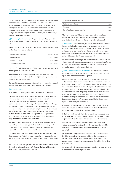The functional currency of overseas subsidiaries is the currency used in the country in which they are based. The assets and liabilities of overseas foreign operations are translated at the balance date closing rate. Revenue and expense items are translated at the spot rate at the transaction date or a rate approximating that rate. Foreign currency exchange differences are recognised in the Foreign Currency Translation Reserve.

(g) Property, plant & equipment Property, plant and equipment is stated at cost less accumulated depreciation and any impairment in value.

Depreciation is calculated on a straight-line basis over the estimated useful life of the asset as follows:

| Leasehold improvements | Terms of lease |
|------------------------|----------------|
| Motor vehicles         | $3 - 4$ years  |
| Fixtures & fittings    | $1 - 7$ years  |
| Computer equipment     | $2 - 3$ years  |
|                        |                |

The assets' residual value and useful lives are reviewed and adjusted if appropriate at each balance date.

An asset's carrying amount is written down immediately to it's recoverable amount if the asset's carrying amount is greater than its estimated recoverable amount.

Gains and losses on disposals are determined by comparing proceeds with carrying amount and are taken to the Income Statement.

### (h) Intangible assets

(I) Research and development costs are expensed as incurred.

Costs associated with developing or maintaining internal computer software programmes are recognised as an expense as incurred. Costs that are directly associated with the development of identifiable and unique software products controlled by the Group, and that will probably generate economic benefits exceeding costs beyond one year, are recognised as intangible assets. Costs include the software development employee costs and an appropriate portion of relevant overheads. Any expenditure so capitalised is amortised over the period of expected benefit from the related project and taken to the Income Statement.

(II) Other intangible assets acquired are initially measured at cost. Internally generated assets, excluding capitalised development costs, are not capitalised and expenditure is recognised in the Income Statement in the year in which the expenditure is incurred.

The useful lives of the Group's intangible assets are assessed to be finite. Assets with finite lives are amortised over the useful life and tested for impairment whenever there is indication that the asset may be impaired.

(III) Amortisation is recognised in the Income Statement on a straight line basis over the estimated useful lives of the intangible assets, from the date they are available for use.

The estimated useful lives are:

| Trademarks / patents          | 10 years      |
|-------------------------------|---------------|
| Domains                       | 10 years      |
| Capitalised development costs | $3 - 4$ years |

Where estimated useful lives or recoverable values have been diminished due to technological change or market conditions, amortisation is accelerated or the carrying value is impaired.

(i) Impairment At each reporting date, the Group assesses whether there is any indication that an asset may be impaired. Where an indicator of impairment exists, the Group makes a formal estimate of the recoverable amount. Where the carrying value of an asset exceeds it's recoverable amount, the asset is considered impaired and is written down to it's recoverable amount.

Recoverable amount is the greater of fair value less costs to sell and value in use. Individual assets are generally not independent of those in a group and the recoverable amount is calculated on the cash generating unit to which the asset belongs.

(j) Non-derivative financial instruments Non-derivative financial instruments comprise, trade and other receivables, cash and cash equivalents, and trade and other payables.

A financial instrument is recognised if the Group becomes a party to the contractual provisions of the instrument. Financial assets are derecognised if the Group's contractual rights to the cash flows from the financial assets expire or if the Group transfers the financial asset to another party without retaining control of substantially all risks and rewards of the asset. Regular purchases and sales of financial assets are accounted for at trade date, i.e. the date the Group commits itself to purchase or sell the asset. Financial liabilities are derecognised if the Group's obligations specified in the contract expire or are discharged or cancelled.

Non-derivative financial instruments are recognised initially at fair value. Subsequent to initial recognition non-derivative financial instruments are measured as described below:

(I) Cash and cash equivalents includes cash in hand, deposits held at call with banks, other short-term highly liquid investments with original maturities of three months or less, and bank overdrafts.

(II) Trade and other receivables are stated at their estimated realisable values after writing off bad debts and making suitable provisions for doubtful debts. Bad debts are written off when identified.

(III) Trade and other payables are carried at cost. They represent liabilities for goods and services provided to the Group prior to the end of the financial year that are unpaid. The amounts are unsecured, non-interest bearing and are usually paid within 45 days of recognition.

(IV) Revenue in Advance represents amounts where clients have been invoiced ahead of rendering of services.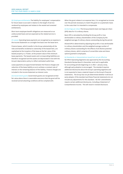(k) Employee entitlements The liability for employees' compensation for future leave is accrued in relation to the length of service rendered by employees and relates to the vested and unvested entitlements.

Short-term employee benefit obligations are measured on an undiscounted basis and are expensed as the related service is provided.

(l) Leases Operating lease payments are recognised as an expense in the Income Statement on a straight-line basis over the lease term.

Finance leases, which transfer to the Group substantially all the risks and benefits incidental to ownership of the leased item, are capitalised at the inception of the lease at the fair value of the leased property or, if lower, at the present value of the minimum lease payments. The leased assets and corresponding liabilities are therefore recognised and the assets are depreciated in line with the Group's depreciation policy to reflect estimated useful lives.

Lease payments are apportioned between the finance charges and reduction of the lease liability so as to achieve a constant rate of interest on the remaining balance of the liability. Finance charges are included in the Income Statement as interest costs.

(m) Government grants Government grants are recognised at their fair value where there is reasonable assurance that the grant will be received and all attaching conditions will be complied with.

When the grant relates to an expense item, it is recognised as income over the periods necessary to match the grant on a systematic basis to the costs that it is intended to compensate.

(n) Earnings per share The Group presents basic earnings per share (EPS) data for it's ordinary shares.

Basic EPS is calculated by dividing the Group profit or loss attributable to ordinary shareholders of the Company by the weighted average of ordinary shares outstanding during the period.

Diluted EPS is determined by adjusting the profit or loss attributable to ordinary shareholders and the weighted average number of ordinary shares outstanding for the effects of all dilutive potential ordinary shares, which comprise of convertible notes and share options granted to employees.

(o) Standards or interpretations issued but not yet effective

NZ IFRS 8 Operating Segments was approved by the Accounting Standards Review Board in December 2006 and is applicable for accounting periods beginning on or after 1 January 2009, although early adoption is encouraged. The standard requires additional disclosures about the Group's operating segments and is not expected to have a material impact on the Group's financial statements. The Group has not yet determined whether it will be an early adopter of the standard and these financial statements do not include any adjustments for this standard. NZ IAS 1 amendments require certain additional disclosures, including a Statement of Comprehensive Income. This will result in revised disclosure.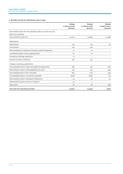### **2. Reconciliation of operating cash flows**

|                                                                     | Group<br>31 March 2008<br>$(s$ ooos $)$ | <b>Parent</b><br>31 March 2008<br>$(s$ ooos $)$ | Parent<br>31 March 2007<br>$(s$ ooos $)$ |
|---------------------------------------------------------------------|-----------------------------------------|-------------------------------------------------|------------------------------------------|
| Reconciliation from the net profit/(loss) after tax to the net cash |                                         |                                                 |                                          |
| flows from operation                                                |                                         |                                                 |                                          |
| Net profit/(loss) after tax                                         | (4,310)                                 | (4, 295)                                        | (1,049)                                  |
| Adjustments                                                         |                                         |                                                 |                                          |
| Depreciation                                                        | 134                                     | 133                                             | 20                                       |
| Amortisation                                                        | 208                                     | 208                                             |                                          |
| Net (profit)/loss on disposal of property, plant & equipment        | 10                                      | 10                                              |                                          |
| Unrealised foreign currency (gains)/losses                          | 67                                      | 67                                              |                                          |
| Translation of foreign operations                                   | 10                                      |                                                 |                                          |
| Interest on loans to directors                                      | (12)                                    | (12)                                            |                                          |
| Changes in working capital items                                    |                                         |                                                 |                                          |
| (Increase)/decrease in trade receivables & prepayments              | (63)                                    | (14)                                            | (50)                                     |
| (Decrease)/increase in trade payables & accruals                    | 196                                     | 102                                             | 209                                      |
| (Increase)/decrease in GST receivable                               | (82)                                    | (70)                                            | (33)                                     |
| (Increase)/decrease in current tax receivable                       | (208)                                   | (208)                                           | (2)                                      |
| (Decrease)/increase in employee entitlements                        | 59                                      | 59                                              | 34                                       |
| (Decrease)/increase in income in advance                            | 34                                      | $\overline{4}$                                  |                                          |
| Issue costs                                                         | 82                                      | 82                                              | (82)                                     |
| Net cash from operating activities                                  | (3,875)                                 | (3,934)                                         | (953)                                    |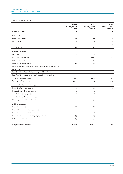### **3. Revenues and expenses**

|                                                                              | Group<br>31 March 2008<br>$(s$ ooos $)$ | <b>Parent</b><br>31 March 2008<br>$(s$ ooos) | <b>Parent</b><br>31 March 2007<br>$($ \$000s $)$ |
|------------------------------------------------------------------------------|-----------------------------------------|----------------------------------------------|--------------------------------------------------|
| Operating revenue                                                            | 134                                     | 162                                          | 10                                               |
| Other income                                                                 |                                         |                                              |                                                  |
| Government grants                                                            | 216                                     | 216                                          | 89                                               |
| Rent received                                                                | 39                                      | 39                                           | 16                                               |
|                                                                              | 255                                     | 255                                          | 105                                              |
| Total revenue                                                                | 389                                     | 417                                          | 115                                              |
| Operating expenses                                                           |                                         |                                              |                                                  |
| Audit fees                                                                   | 24                                      | 24                                           |                                                  |
| Employee entitlements                                                        | 2,187                                   | 2,090                                        | 813                                              |
| Lease/rental costs                                                           | 238                                     | 237                                          |                                                  |
| Directors' fees & expenses                                                   | 171                                     | 171                                          |                                                  |
| Research expenditure charged directly to expenses in the income<br>statement | 533                                     | 533                                          |                                                  |
| Loss/(profit) on disposal of property, plant & equipment                     | 10                                      | 10                                           |                                                  |
| Loss/(profit) on foreign exchange transactions - unrealised                  | 67                                      | 67                                           |                                                  |
| Other operating expenses                                                     | 1,916                                   | 2,033                                        | 336                                              |
| Total operating expenses                                                     | 5,146                                   | 5,165                                        | 1,149                                            |
| Depreciation & amortisation expense                                          |                                         |                                              |                                                  |
| Property, plant & equipment                                                  | 124                                     | 123                                          | 20                                               |
| Finance lease - office equipment                                             | 10                                      | 10                                           |                                                  |
| Amortisation of intangibles                                                  | 6                                       | 6                                            |                                                  |
| Amortisation of development costs                                            | 202                                     | 202                                          |                                                  |
| Total depreciation & amortisation                                            | 342                                     | 341                                          | 20                                               |
| Net interest income                                                          |                                         |                                              |                                                  |
| Interest income - bank                                                       | 781                                     | 780                                          | 5                                                |
| Interest income - loan to related party                                      | 12                                      | 12                                           | $\overline{\phantom{a}}$                         |
| Interest income - loan to subsidiaries                                       | l,                                      | 6                                            |                                                  |
| Interest expense - finance charges payable under finance lease               | (4)                                     | (4)                                          |                                                  |
| Net interest income                                                          | 789                                     | 794                                          | 5                                                |
| Net profit/(loss) before tax                                                 | (4,310)                                 | (4, 295)                                     | (1,049)                                          |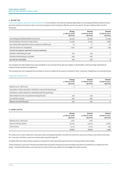### **4. Income Tax**

Income tax expense reported in income statement A reconciliation of income tax expense applicable to accounting profit/(loss) before income tax at the statutory income tax rate to income tax expense at the Company's effective income tax rate for the year ended 31 March 2008 is as follows:

|                                                         | Group<br>31 March 2008<br>$(s$ ooos $)$ | Parent<br>31 March 2008<br>$(s$ ooos $)$ | <b>Parent</b><br>31 March 2007<br>$(s$ ooos $)$ |
|---------------------------------------------------------|-----------------------------------------|------------------------------------------|-------------------------------------------------|
| Accounting profit/(loss) before income tax              | (4,310)                                 | (4, 295)                                 | (1,049)                                         |
| At the statutory income tax rate of 33%                 | (1, 422)                                | (1, 417)                                 | (346)                                           |
| Non-deductible expenditure due to temporary differences | 72                                      | 71                                       | 47                                              |
| Total tax losses not recognised                         | 1,350                                   | 1,346                                    | 299                                             |
| Income tax expense reported in income statement         | -                                       |                                          |                                                 |
| Resident withholding tax paid                           | 236                                     | 236                                      | $\overline{2}$                                  |
| Resident withholding tax refunded                       | (26)                                    | (26)                                     |                                                 |
| Current tax receivable                                  | 210                                     | 210                                      | 2                                               |

The Company has New Zealand tax losses available to carry forward of \$4,987,000 subject to shareholder continuity being maintained as required by New Zealand tax legislation.

The Company has not recognised the tax losses in terms of a deferred tax asset as outlined in Note 1 Summary of Significant Accounting Policies.

### Imputation credit account

|                                                                   | Group<br>31 March 2008<br>$(s$ ooos $)$ | Parent<br>31 March 2008<br>$(s$ ooos $)$ | Parent<br>31 March 2007<br>$(s$ ooos $)$ |
|-------------------------------------------------------------------|-----------------------------------------|------------------------------------------|------------------------------------------|
| Balance as at 1 April 2007                                        | $\overline{2}$                          |                                          | $\Omega$                                 |
| Imputation credits attached to dividends received during the year |                                         |                                          |                                          |
| Imputation credits attached to dividends paid during the year     | ٠                                       | -                                        |                                          |
| New Zealand Income Tax payments during the year                   | 236                                     | 236                                      |                                          |
| Tax refunds received                                              | (28)                                    | (28)                                     |                                          |
| Balance at end of the year                                        | 210                                     | 210                                      |                                          |

### **5. Share Capital**

|                            | Group<br>31 March 2008<br>$(s$ ooos $)$ | <b>Parent</b><br>31 March 2008<br>$(s$ ooos $)$ | <b>Parent</b><br>31 March 2007<br>$(s$ ooos $)$ |
|----------------------------|-----------------------------------------|-------------------------------------------------|-------------------------------------------------|
| Balance as at 1 April 2007 | 2,781                                   | 2,781                                           |                                                 |
| Issue of ordinary shares   | 15,000                                  | 15,000                                          | 2,800                                           |
| Cost of issue              | (1, 111)                                | (1, 111)                                        | (19)                                            |
|                            | 16,670                                  | 16,670                                          | 2,781                                           |

On 15 May 2007 a share subdivision took place where existing shareholders received 23.2 shares for every one ordinary share held at that date. On 1 June 2007 a further 15,000,000 shares were issued through IPO.

Included within the value of share capital are transaction costs associated with the issue of ordinary shares of \$15 million.

These transaction costs were directly associated with the equity transactions and accordingly have been accounted for as a deduction from Equity. Included within these costs were \$22,767 paid to the Group auditors for due diligence & audit services.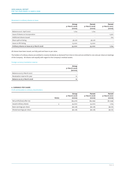### Movement in ordinary shares on issue

|                                           | Group<br>31 March 2008<br>(ooos) | Parent<br>31 March 2008<br>(000s) | Parent<br>31 March 2007<br>(ooos) |
|-------------------------------------------|----------------------------------|-----------------------------------|-----------------------------------|
| Balance as at 1 April 2007                | 1,724                            | 1,724                             |                                   |
| Issue of shares on incorporation          | $\overline{\phantom{a}}$         | $\overline{\phantom{a}}$          | 1,500                             |
| Additional shares issued                  |                                  | ۰                                 | 224                               |
| Share split at listing                    | 38,276                           | 38,276                            |                                   |
| Issue on IPO listing                      | 15,000                           | 15,000                            |                                   |
| Ordinary shares on issue at 31 March 2008 | 55,000                           | 55,000                            | 1,724                             |

All shares have been issued, are fully paid and have no par value.

The holders of ordinary shares are entitled to receive dividends as declared from time to time and are entitled to one vote per share at meetings of the Company. All shares rank equally with regard to the Company's residual assets.

### Foreign currency translation reserve

|                              | Group<br>31 March 2008<br>$(s$ ooos $)$ |
|------------------------------|-----------------------------------------|
| Balance as at 31 March 2007  |                                         |
| Revaluation reserve for year | 10                                      |
| Balance as at 31 March 2008  | 10                                      |

### **6. Earnings per Share**

### Profit attributable to ordinary shareholders:

|                             | <b>Notes</b> | Group<br>31 March 2008<br>(ooos) | Parent<br>31 March 2008<br>(000s) | <b>Parent</b><br>31 March 2007<br>(ooos) |
|-----------------------------|--------------|----------------------------------|-----------------------------------|------------------------------------------|
| Net profit/(loss) after tax |              | $(*4,310)$                       | $(*4, 295)$                       | $(*1,049)$                               |
| Issued ordinary shares      | 5            | 55,000                           | 55,000                            | 1,724                                    |
| Basic earnings per share    |              | (\$0.08)                         | (\$0.08)                          | (\$0.61)                                 |
| Diluted earnings per share  |              | (\$0.08)                         | (\$0.08)                          | (\$0.61)                                 |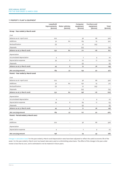### **7. Property, plant & equipment**

|                                     | Leasehold<br>improvements<br>$(s$ ooos $)$ | Motor vehicles<br>$(s$ ooos $)$ | Computer<br>equipment<br>$(s$ ooos $)$ | <b>Furniture and</b><br>equipment<br>$(s$ ooos $)$ | Total<br>$(s$ ooos $)$ |
|-------------------------------------|--------------------------------------------|---------------------------------|----------------------------------------|----------------------------------------------------|------------------------|
| Group - Year ended 31 March 2008    |                                            |                                 |                                        |                                                    |                        |
| Cost                                |                                            |                                 |                                        |                                                    |                        |
| Balance as at 1 April 2007          | 202                                        | $\overline{\phantom{a}}$        | 36                                     | 68                                                 | 306                    |
| Additions                           | 32                                         | 60                              | 163                                    | 75                                                 | 330                    |
| Reclassification                    | (2)                                        | L,                              | 27                                     | (25)                                               |                        |
| Disposals                           | $\overline{a}$                             | $\overline{\phantom{a}}$        | (15)                                   |                                                    | (15)                   |
| Balance as at 31 March 2008         | 232                                        | 60                              | 211                                    | 118                                                | 621                    |
| Depreciation                        |                                            |                                 |                                        |                                                    |                        |
| Accumulated depreciation            | $\overline{4}$                             | $\overline{\phantom{a}}$        | 7                                      | 9                                                  | 20                     |
| Depreciation expense                | 39                                         | 8                               | 70                                     | 17                                                 | 134                    |
| Disposals                           | Ĭ.                                         | $\overline{\phantom{a}}$        | (5)                                    |                                                    | (5)                    |
| Balance as at 31 March 2008         | 43                                         | 8                               | 72                                     | 26                                                 | 149                    |
| Net carrying amount                 | 189                                        | 52                              | 139                                    | 92                                                 | 472                    |
| Parent - Year ended 31 March 2008   |                                            |                                 |                                        |                                                    |                        |
| Cost                                |                                            |                                 |                                        |                                                    |                        |
| Balance as at 1 April 2007          | 202                                        | L,                              | 36                                     | 68                                                 | 306                    |
| Additions                           | 32                                         | 60                              | 150                                    | 75                                                 | 317                    |
| Reclassification                    | (2)                                        | $\overline{\phantom{a}}$        | 27                                     | (25)                                               |                        |
| Disposals                           | Ĭ.                                         | $\overline{\phantom{a}}$        | (15)                                   |                                                    | (15)                   |
| Balance as at 31 March 2008         | 232                                        | 60                              | 198                                    | 118                                                | 608                    |
| Depreciation                        |                                            |                                 |                                        |                                                    |                        |
| Accumulated depreciation            | $\overline{4}$                             | $\overline{\phantom{a}}$        | 7                                      | 9                                                  | 20                     |
| Depreciation expense                | 39                                         | 8                               | 69                                     | 17                                                 | 133                    |
| Disposals                           | $\overline{\phantom{a}}$                   | $\overline{\phantom{a}}$        | (5)                                    |                                                    | (5)                    |
| Balance as at 31 March 2008         | 43                                         | 8                               | 71                                     | 26                                                 | 148                    |
| Net carrying amount                 | 189                                        | 52                              | 127                                    | 92                                                 | 460                    |
| Parent - Period ended 31 March 2007 |                                            |                                 |                                        |                                                    |                        |
| Cost                                |                                            |                                 |                                        |                                                    |                        |
| Additions                           | 202                                        | $\overline{a}$                  | 36                                     | 68                                                 | 306                    |
| Depreciation                        |                                            |                                 |                                        |                                                    |                        |
| Depreciation expense                | $\overline{4}$                             | $\overline{\phantom{a}}$        | 7                                      | 9                                                  | 20                     |
| Net carrying amount                 | 198                                        |                                 | 29                                     | 59                                                 | 286                    |

Change in calculation basis For the year ended 31 March 2008 depreciation rates have been adjusted to reflect the useful economic life of the asset. For the year ended 31 March 2007 tax based rates were used on a diminishing value basis. The effect of this change in the year under review is less than \$1,000, and is estimated to not be material in future years.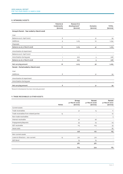### **8. INTANGIBLE ASSETS**

|                                           | Patents &<br>trademarks<br>$(s$ ooos $)$ | Research &<br>development*<br>$(s$ ooos $)$ | Domains<br>$(s$ ooos $)$ | <b>TOTAL</b><br>$(s$ ooos $)$ |
|-------------------------------------------|------------------------------------------|---------------------------------------------|--------------------------|-------------------------------|
| Group & Parent - Year ended 31 March 2008 |                                          |                                             |                          |                               |
| Cost                                      |                                          |                                             |                          |                               |
| Balance as at 1 April 2007                | 8                                        | ٠                                           | 31                       | 39                            |
| Additions                                 | 9                                        | 1,215                                       | 10 <sup>°</sup>          | 1,234                         |
| Disposals                                 |                                          |                                             | ٠                        |                               |
| Balance as at 31 March 2008               | 17                                       | 1,215                                       | 41                       | 1,273                         |
| <b>Amortisation &amp; impairment</b>      |                                          |                                             |                          |                               |
| Balance as at 1 April 2007                | $\overline{\phantom{a}}$                 | ٠                                           | $\overline{\phantom{m}}$ |                               |
| Amortisation during year                  | $\mathbf{1}$                             | 202                                         | 5                        | 208                           |
| Balance as at 31 March 2008               | 1                                        | 202                                         | 5                        | 208                           |
| Net carrying amount                       | 16                                       | 1,013                                       | 36                       | 1,065                         |
| Parent - Period ended 31 March 2007       |                                          |                                             |                          |                               |
| Cost                                      |                                          |                                             |                          |                               |
| Additions                                 | 8                                        |                                             | 31                       | 39                            |
| Amortisation & impairment                 |                                          |                                             |                          |                               |
| Amortisation during year                  | $\overline{\phantom{a}}$                 |                                             | $\overline{\phantom{m}}$ |                               |
| Net carrying amount                       | 8                                        |                                             | 31                       | 39                            |

*\*Research & Development has been internally generated*

### **9. TRADE RECEIVABLES & OTHER ASSETS**

|                                        |              | Group<br>31 March 2008   | <b>Parent</b><br>31 March 2008 | <b>Parent</b><br>31 March 2007 |
|----------------------------------------|--------------|--------------------------|--------------------------------|--------------------------------|
|                                        | <b>Notes</b> | $(s$ ooos $)$            | $(s$ ooos $)$                  | $(s$ ooos $)$                  |
| Current assets                         |              |                          |                                |                                |
| Trade receivables                      |              | 51                       | 15                             | 11                             |
| Trade receivables from related parties | 15           | $\overline{\phantom{a}}$ | $\overline{\phantom{a}}$       | 10 <sup>°</sup>                |
| Non-trade receivables                  |              | $\overline{\phantom{a}}$ | $\overline{\phantom{a}}$       | 5                              |
| Interest receivable                    |              | 27                       | 26                             |                                |
| Prepayments/deposits                   |              | 35                       | 23                             | 24                             |
| GST receivable                         |              | 115                      | 103                            | 33                             |
| Issue costs                            |              | ٠                        | $\overline{\phantom{a}}$       | 82                             |
|                                        |              | 228                      | 167                            | 165                            |
| Non-current assets                     |              |                          |                                |                                |
| Loans to Directors - non-current       | 15           | 312                      | 312                            |                                |
| NZX Bond                               |              | 75                       | 75                             |                                |
|                                        |              | 387                      | 387                            |                                |
|                                        |              | 615                      | 554                            | 165                            |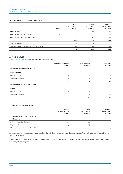### **10. TRADE PAYABLES & OTHER LIABILITIES**

|                                                | <b>Notes</b> | Group<br>31 March 2008<br>$(s$ ooos $)$ | <b>Parent</b><br>31 March 2008<br>$(s$ ooos $)$ | <b>Parent</b><br>31 March 2007<br>$($ \$000s $)$ |
|------------------------------------------------|--------------|-----------------------------------------|-------------------------------------------------|--------------------------------------------------|
| Trade payables                                 |              | 227                                     | 185                                             | 155                                              |
| Trade payables due to related parties          | 15           |                                         | 6                                               | 13                                               |
| Other payables & accrued expenses              |              | 177                                     | 120                                             | 41                                               |
|                                                |              | 405                                     | 311                                             | 209                                              |
| Income in advance                              |              | 34                                      | 4                                               |                                                  |
| Employee entitlements arising through the year |              | 93                                      | 93                                              | 34                                               |
|                                                |              | 532                                     | 408                                             | 243                                              |

### **11. FINANCE LEASE**

Finance lease liability Present value of minimum lease payments

|                                    | Minimum payments<br>$(s$ ooos $)$ | Lease interest<br>$(s$ ooos $)$ | Principal<br>$(s$ ooos $)$ |
|------------------------------------|-----------------------------------|---------------------------------|----------------------------|
| For the year ended 31 March 2008   |                                   |                                 |                            |
| <b>Group &amp; Parent</b>          |                                   |                                 |                            |
| Less than 1 year                   | 8                                 | $\overline{2}$                  | 6                          |
| Between 1 and 5 years              | 24                                | 4                               | 20                         |
|                                    | 32                                | 6                               | 26                         |
| For the period ended 31 March 2007 |                                   |                                 |                            |
| Parent                             |                                   |                                 |                            |
| Less than 1 year                   | 8                                 | 4                               | 4                          |
| Between 1 and 5 years              | 33                                | 6                               | 27                         |
|                                    | 41                                | 10                              | 31                         |

### **12. AUDITORS' REMUNERATION**

|                                                                    | Group<br>31 March 2008<br>$(s$ ooos $)$ | Parent<br>31 March 2008<br>$(s$ ooos $)$ | <b>Parent</b><br>31 March 2007<br>$(s$ ooos $)$ |
|--------------------------------------------------------------------|-----------------------------------------|------------------------------------------|-------------------------------------------------|
| Amounts received or due & receivable by<br><b>BDO Spicers for:</b> |                                         |                                          |                                                 |
| Audit of financial statements                                      | 24                                      | 24                                       | 8                                               |
| IPO prospectus work                                                | 23                                      | 23                                       |                                                 |
| Other services in relation to the entity                           |                                         |                                          |                                                 |

IPO Prospectus work included audit or review of the financial information included. These costs were offset against the capital raised, as per Note 5 – Share capital.

Other audit related services include services for the audit or review of financial information other than financial reports other audits required for local regulatory purposes.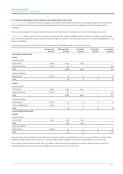### **13. financial instruments and financial risk management objectives**

Financial instruments Financial instruments recognised in the Balance Sheet include cash balances, receivables, payables and finance leases. It is, and has been through the period of these financial statements, the Group's policy that no trading in financial instruments shall be undertaken.

The main risks arising from the Group's financial instruments are interest rate risk, liquidity risk, credit risk and foreign currency risk.

Interest rate risk Interest rate risk is the risk that the value of the Group's assets and liabilities will fluctuate due to changes in market interest rates. The Group is exposed to interest rate risk primarily through cash balances. The Group does not enter into forward rate agreements or any interest rate hedges.

The interest rate re-pricing profile of the Group's financial assets and liabilities subject to interest rate risk are:

|                              | Interest rate<br>$(s$ ooos $)$ | <b>Balance Sheet</b><br>$(s$ ooos $)$ | 12 months<br>$(s$ ooos $)$ | 24 months<br>$(s$ ooos $)$ | >24 months<br>$(s$ ooos $)$ |
|------------------------------|--------------------------------|---------------------------------------|----------------------------|----------------------------|-----------------------------|
| Year ended 31 March 2008     |                                |                                       |                            |                            |                             |
| Group                        |                                |                                       |                            |                            |                             |
| <b>Financial assets</b>      |                                |                                       |                            |                            |                             |
| Cash at bank                 | 8.45%                          | 9,517                                 | 9,517                      | ÷.                         |                             |
| Loans to Directors           | 4.00%                          | 312                                   |                            |                            | 312                         |
| Total                        |                                | 9,829                                 | 9,517                      | $\blacksquare$             | 312                         |
| <b>Financial liabilities</b> |                                |                                       |                            |                            |                             |
| Finance lease                | 12.67%                         | 26                                    | 6                          | $\overline{7}$             | 13                          |
| Total                        |                                | 26                                    | 6                          | 7                          | 13                          |
| <b>Parent</b>                |                                |                                       |                            |                            |                             |
| <b>Financial assets</b>      |                                |                                       |                            |                            |                             |
| Cash at bank                 | 8.45%                          | 9,471                                 | 9,471                      | $\overline{\phantom{a}}$   |                             |
| Loans to Directors           | 4.00%                          | 312                                   | L,                         | ÷,                         | 312                         |
| Total                        |                                | 9,783                                 | 9,471                      | $\overline{\phantom{a}}$   | 312                         |
| <b>Financial liabilities</b> |                                |                                       |                            |                            |                             |
| Finance lease                | 12.67%                         | 26                                    | 6                          | 7                          | 13                          |
| Loans to subsidiaries        | 7.00%                          | 5                                     | 5                          | 5                          |                             |
| Total                        |                                | 31                                    | 11                         | 12                         | 13                          |
| Period ended 31 March 2007   |                                |                                       |                            |                            |                             |
| Parent                       |                                |                                       |                            |                            |                             |
| <b>Financial assets</b>      |                                |                                       |                            |                            |                             |
| Cash at bank                 | $1.55\%$                       | 1,514                                 | 1,514                      | $\overline{\phantom{a}}$   |                             |
| Total                        |                                | 1,514                                 | 1,514                      | $\blacksquare$             |                             |
| <b>Financial liabilities</b> |                                |                                       |                            |                            |                             |
| Finance lease                | 12.67%                         | 31                                    | 5                          | 6                          | 20                          |
| Total                        |                                | 31                                    | 5                          | 6                          | 20                          |

Of the financial assets and liabilities above only the Cash at Bank is subject to floating interest rate risk. Loans to Directors and Finance lease liability are subject to fixed rate interest risk. All other financial assets and liabilities of the Group are not subject to interest rate risk.

As at 31 March 2008 if interest rates had been 0.5% higher or lower with all other variables held constant, interest income, net loss and retained earnings for the Group would have changed by less than \$100,000 (2007: <\$100,000).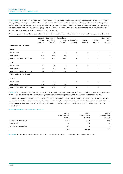Liquidity risk The Group is an early stage technology business. Through the Parent Company, the Group raised sufficient cash from its public offering in May 2007 to operate debt free for at least two years. At the time, the Directors indicated that they didn't expect the Group to be profitable for at least three years, a view they still hold. Management of the Group's liquidity risk is therefore focused primarily on generating sufficient revenue from sales to cover the ongoing costs of operation. In addition, the Group is exploring the options of seeking additional funding to maintain and/or expand its business should it be required.

The following table sets out the contractual cash flows for all financial liabilities and for derivatives that are settled on a gross cash flow basis.

|                                  | Balance<br>Sheet<br>$(s$ ooos $)$ | Contractual<br>cash flows<br>$(s$ ooos $)$ | 6 months or<br>less<br>$(s$ ooos $)$ | 6-12 months<br>$(s$ ooos $)$ | 1-2 years<br>$(s$ ooos $)$ | 2-5 years<br>$(s$ ooos $)$ | More than 5<br>years<br>$(s$ ooos $)$ |
|----------------------------------|-----------------------------------|--------------------------------------------|--------------------------------------|------------------------------|----------------------------|----------------------------|---------------------------------------|
| Year ended 31 March 2008         |                                   |                                            |                                      |                              |                            |                            |                                       |
| Group                            |                                   |                                            |                                      |                              |                            |                            |                                       |
| Finance lease                    | 26                                | 33                                         | 4                                    | 4                            | 9                          | 16                         |                                       |
| Trade payables                   | 405                               | 405                                        | 405                                  | ٠                            | $\overline{\phantom{a}}$   | ۰                          |                                       |
| Total non-derivative liabilities | 431                               | 438                                        | 409                                  | 4                            | 9                          | 16                         |                                       |
| Parent                           |                                   |                                            |                                      |                              |                            |                            |                                       |
| Finance lease                    | 26                                | 33                                         | 4                                    | 4                            | 9                          | 16                         |                                       |
| Trade payables                   | 311                               | 311                                        | 311                                  | ٠                            | ۰.                         | $\overline{\phantom{a}}$   |                                       |
| Total non-derivative liabilities | 337                               | 344                                        | 315                                  | 4                            | 9                          | 16                         |                                       |
| Period ended 31 March 2007       |                                   |                                            |                                      |                              |                            |                            |                                       |
| Parent                           |                                   |                                            |                                      |                              |                            |                            |                                       |
| Finance lease                    | 31                                | 41                                         | 4                                    | $\overline{4}$               | 8                          | 25                         |                                       |
| Trade payables                   | 209                               | 209                                        | 209                                  | $\overline{\phantom{a}}$     | ٠                          | $\overline{\phantom{a}}$   |                                       |
| Total non-derivative liabilities | 240                               | 250                                        | 213                                  | 4                            | 8                          | 25                         |                                       |

Credit risk To the extent that the Group has a receivable from another party, there is a credit risk in the event of non-performance by that other party. Financial instruments which potentially subject the Group to credit risk principally consist of bank balances and receivables.

The Group manages its exposure to credit risk by monitoring the credit quality of the financial institutions that hold cash balances. The credit risk associated with trade receivables is small because of the inherently low individual transaction value and the spread over many customers. 72% of current receivables are refunds of GST and Resident Withholding Tax due from respective tax authorities in New Zealand and the United Kingdom.

### Maximum exposure to credit risk at balance date

|                         | Group<br>31 March 2008<br>$(s$ ooos $)$ | <b>Parent</b><br>31 March 2008<br>$(s$ ooos $)$ | <b>Parent</b><br>31 March 2007<br>$(s$ ooos $)$ |
|-------------------------|-----------------------------------------|-------------------------------------------------|-------------------------------------------------|
| Cash & cash equivalents | 9,517                                   | 9,471                                           | 1,514                                           |
| Receivables             | 438                                     | 377                                             | 167                                             |
| Non-current receivables | 387                                     | 387                                             | $\overline{\phantom{a}}$                        |
|                         | 10,342                                  | 10,235                                          | 1,681                                           |

Fair value The fair value of each class of financial assets and financial liabilities has been recognised as the carrying value.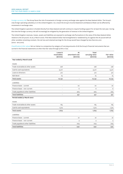Foreign currency risk The Group faces the risk of movements in foreign currency exchange rates against the New Zealand dollar. The Group's only foreign operating subsidiary is in the United Kingdom. As a result the Group's Income Statement and Balance Sheet can be affected by movements in exchange rates.

The United Kingdom operation is funded directly from New Zealand and will continue to require funding support for at least the next year. During this time the foreign currency risk will increasingly be mitigated by the generation of revenue in the United Kingdom.

The United Kingdom revenues, losses, assets and liabilities are exposed to exchange rate fluctuations in the value of the New Zealand dollar relative to the UK pound. As at 31 March 2008, if the New Zealand dollar had strengthened or weakened by 5% against the UK pound with all other variables remaining constant, the net loss and retained earnings for the Group would have changed by less than \$10,000 (2007: <\$10,000).

Classification & fair values Set our below is a comparison by category of carrying amounts of all the Group's financial instruments that are carried in the financial statements at other than fair value through profit or loss.

|                                    | Loans &<br>receivables | At<br>amortised cost     | Total<br>carrying value | <b>Fair value</b> |
|------------------------------------|------------------------|--------------------------|-------------------------|-------------------|
| Year ended 31 March 2008           | $(s$ ooos $)$          | $(s$ ooos $)$            | $(s$ ooos $)$           | $(s$ ooos $)$     |
| Assets                             |                        |                          |                         |                   |
| Trade receivables & other assets   | 228                    |                          | 228                     | 228               |
| Cash & cash equivalents            | 9,517                  |                          | 9,517                   | 9,517             |
| Loans to Directors                 | 312                    |                          | 312                     | 312               |
| NZX Bond                           | 75                     |                          | 75                      | 75                |
| <b>Total assets</b>                | 10,132                 | $\overline{\phantom{a}}$ | 10,132                  | 10,132            |
| Liabilities                        |                        |                          |                         |                   |
| Finance lease - current            | ÷,                     | 20                       | 20                      | 20                |
| Finance lease - non-current        | $\overline{a}$         | 6                        | 6                       | 6                 |
| Trade payables & other liabilities | ÷,                     | 405                      | 405                     | 405               |
| <b>Total liabilities</b>           | ٠                      | 431                      | 431                     | 431               |
| Period ended 31 March 2007         |                        |                          |                         |                   |
| Assets                             |                        |                          |                         |                   |
| Trade receivables & other assets   | 165                    |                          | 165                     | 165               |
| Cash & cash equivalents            | 1,514                  |                          | 1,514                   | 1,514             |
| <b>Total assets</b>                | 1,679                  | ÷,                       | 1,679                   | 1,679             |
| Liabilities                        |                        |                          |                         |                   |
| Finance lease - current            |                        | 27                       | 27                      | 27                |
| Finance lease - non-current        |                        | 4                        | 4                       | 4                 |
| Trade payables & other liabilities |                        | 209                      | 209                     | 209               |
| <b>Total liabilities</b>           |                        | 240                      | 240                     | 240               |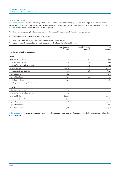### **14. SEGMENT INFORMATION**

Geographic segments A segment is a distinguishable component of the Group that is engaged either in providing related products or services (business segment), or in providing products or services within a particular economic environment (geographical segment), which is subject to risks and rewards that are different from those other segments.

The primary format is geographical segments, based on the Group's Management and internal reporting structure.

Inter-segment pricing is determined on an arm's length basis.

For the period ended 31 March 2007 there was only one segment - New Zealand. For the year ended 31 March 2008 there were two segments - New Zealand and United Kingdom.

New Zealand (\$000s) United Kingdom (\$000s) Total (\$000s) **For the year ended 31 March 2008** *Group* Total segment revenue and the set of the set of the set of the set of the set of the set of the set of the set of the set of the set of the set of the set of the set of the set of the set of the set of the set of the set o Inter-segment revenue 32 332 364 Revenue from external customers 130 4 134 Adjusted EBITDA (4,295) (15) (4,310) Depreciation & amortisation (342) (341) (1) (342) Segment assets 11,879 11,879 11,879 11,879 11,879 11,879 11,879 11,879 11,879 11,879 11,879 11,879 11,879 11,879 Segment liabilities 434 124 558 Capital expenditure 1,551 13 1,564 **For the period ended 31 March 2007** *Parent* Total segment revenue 10 10 Revenue from external customers and the control of the control of the control of the control of the control of the control of the control of the control of the control of the control of the control of the control of the co Adjusted EBITDA (1,049) (1,049) Depreciation & amortisation (20) (20) Segment assets 2,006 2,006 2,006 2,006 2,006 2,006 2,006 2,006 2,006 2,006 2,006 2,006 2,006 2,006 2,006 2,006 Segment liabilities 274 274

Business segments The Group currently operates in one business segment, providing an online accounting solution for small and medium sized enterprises (SMEs).

Capital expenditure 306 306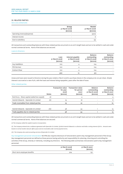### **15. RELATED PARTIES**

Xero Live Limited (UK)

|                             | Group<br>31 March 2008<br>$(s$ ooos $)$ | <b>Parent</b><br>31 March 2008<br>$(s$ ooos $)$ |
|-----------------------------|-----------------------------------------|-------------------------------------------------|
| Operating revenue/(expense) |                                         | (300)                                           |
| Interest income             | -                                       | 6                                               |
| Due to subsidiary           | -                                       | (5)                                             |

All transactions and outstanding balances with these related parties are priced on an arm's length basis and are to be settled in cash and under normal commercial terms. None of the balances are secured.

### Loans to Directors

|               | Loan<br>31 March 2008<br>$(s$ ooos $)$ | Interest payable<br>31 March 2008<br>$(s$ ooos $)$ | <b>Balance</b><br>outstanding<br>31 March 2008<br>$(s$ ooos $)$ | Balance<br>outstanding<br>31 March 2007<br>$(s$ ooos $)$ |
|---------------|----------------------------------------|----------------------------------------------------|-----------------------------------------------------------------|----------------------------------------------------------|
| Guy Haddleton | 100                                    |                                                    | 104                                                             |                                                          |
| Phil Norman   | 100                                    |                                                    | 104                                                             |                                                          |
| Graham Shaw   | 100                                    |                                                    | 104                                                             |                                                          |
|               | 300                                    | 12                                                 | 312                                                             |                                                          |

Unsecured loans were issued to Directors during the year ended 31 March 2008 to purchase shares in the company at \$1.00 per share. Simple interest is accrued at a rate of 4%, with the loans and interest being repayable 5 years after the date of issue.

### Other related parties

|                                               | <b>Notes</b> | <b>Transaction value</b><br>for year<br>2008<br>$(s$ ooos $)$ | <b>Transaction value</b><br>for period<br>2007<br>$(s$ ooos $)$ | Balance<br>outstanding<br>31 March 2008<br>$(s$ ooos $)$ | Balance<br>outstanding<br>31 March 2007<br>$(s$ ooos $)$ |
|-----------------------------------------------|--------------|---------------------------------------------------------------|-----------------------------------------------------------------|----------------------------------------------------------|----------------------------------------------------------|
| Rod Drury - Share capital (called but unpaid) | (i)          |                                                               |                                                                 |                                                          |                                                          |
| Hamish Edwards - Openside CA Limited          | (ii)         | 25                                                            | 18                                                              |                                                          | 6                                                        |
| Trade receivables from related parties        |              | 25                                                            | 22                                                              |                                                          | 10                                                       |
| Hamish Edwards - Openside CA Limited          | (iii)        | 58                                                            | 54                                                              |                                                          | 13                                                       |
| Trade payables due to related parties         |              | 58                                                            | 54                                                              |                                                          | 13                                                       |

All transactions and outstanding balances with these related parties are priced on an arm's length basis and are to be settled in cash and under normal commercial terms. None of the balances are secured.

*(i) The Company called the capital issued on incorporation.*

*(ii) The Company entered into a sublease agreement with Openside CA Limited, of which Hamish Edwards is a director and holds a voting interest of 67%. Amounts were based on normal market rates for office space and are receivable under normal payment terms.*

*(iii) The Company also used accounting services of Openside CA Limited.*

Key management personnel remuneration NZ IFRS also requires disclosure of remuneration paid to key management personnel of the Group. Key management personnel are defined as those persons having authority and responsibility for planning, directing and controlling the activities of the Group, directly or indirectly, including any Directors. The following table summarises remuneration paid to key management personnel.

|                              | 31 March 2008<br>$(s$ ooos $)$ | 31 March 2007<br>$(s$ ooos $)$ |
|------------------------------|--------------------------------|--------------------------------|
| Short-term employee benefits | 924                            | 152                            |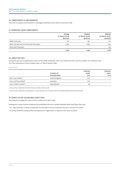### **16. COMMITMENTS & CONTINGENCIES**

There are no capital commitments or contingent liabilities as at 31 March 2008 (2007 Nil).

### **17. OPERATING LEASE COMMITMENTS**

|                                             | Group<br>31 March 2008<br>$(s$ ooos $)$ | <b>Parent</b><br>31 March 2008<br>$(s$ ooos $)$ | <b>Parent</b><br>31 March 2007<br>$(s$ ooos $)$ |
|---------------------------------------------|-----------------------------------------|-------------------------------------------------|-------------------------------------------------|
| Within one year                             | 391                                     | 391                                             | 177                                             |
| After one year but not more than five years | 1,065                                   | 1,065                                           | 709                                             |
| More than five years                        | $\overline{\phantom{a}}$                | -                                               | 133                                             |
|                                             | 1,456                                   | 1,456                                           | 1,019                                           |

### **18. GROUP ENTITIES**

During the year the Company took control of two shell companies, Xero Live Limited and Xero Live Pty Limited, for a nominal value. All of the subsidiaries of the Company have a 31 March balance date.

### Subsidiaries

|                        | Country of<br>incorporation | Interest<br>2008<br>(0/0) | Interest<br>2007<br>(0/0) |
|------------------------|-----------------------------|---------------------------|---------------------------|
| Xero Live Limited      | United Kingdom              | 100                       | $\overline{\phantom{0}}$  |
| Xero Live Pty Limited* | Australia                   | 100                       | $\overline{\phantom{0}}$  |
| Xero Trustee Limited** | New Zealand                 | 48                        |                           |

*\* Xero Live Pty Limited did not trade in the year ended 31 March 2008*

*\*\* Xero Trustee Limited was incorporated on 1 May 2008 and is the trustee for the Xero Limited Employee Restricted Share Plan*

### **19. EVENTS AFTER THE BALANCE SHEET DATE**

The Company changed it's name to Xero Limited on 30 April 2008.

Subsequent to year end the Company has established the Xero Limited Employee Restricted Share Plan and:

• On 1 May 2008 Xero Trustee Limited was incorporated to act as Trustee for the plan, but has not traded.

• On 5 May 2008 the Company filed a prospectus for registration in respect of the issue of shares.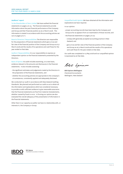### **Auditors' report**

To the Shareholders of Xero Limited We have audited the financial statements on pages 5 to 24. The financial statements provide information about the past financial performance of the Company and Group and their financial position as at 31 March 2008. This information is stated in accordance with the accounting policies set out on pages 9 to 11.

Board of Directors' Responsibilities The Directors are responsible for the preparation of financial statements which give a true and fair view of the financial position of the Company and Group as at 31 March 2008 and the results of its operations and cash flows for the year ended on that date.

Auditors' Responsibilities It is our responsibility to express an independent opinion on the financial statements presented by the Directors.

Basis of Opinion An audit includes examining, on a test basis, evidence relevant to the amounts and disclosures in the financial statements. It also includes assessing:

- the significant estimates and judgements made by the Directors in the preparation of the financial statements, and
- whether the accounting policies are appropriate to the company's circumstances, consistently applied and adequately disclosed.

We conducted our audit in accordance with New Zealand Auditing Standards. We planned and performed our audit so as to obtain all the information and explanations which we considered necessary to provide us with sufficient evidence to give reasonable assurance that the financial statements are free from material misstatements, whether caused by fraud or error. In forming our opinion we also evaluated the overall adequacy of the presentation of information in the financial statements.

Other than in our capacity as auditor we have no relationship with, or interests in, the Company or Group.

Unqualified Audit Opinion We have obtained all the information and explanations we have required.

In our opinion:

- proper accounting records have been kept by the Company and Group as far as appears from our examination of those records; and
- the financial statements on pages 5 to 24:
- comply with generally accepted accounting practice in New Zealand; and
- give a true and fair view of the financial position of the Company and Group as at 31 March 2008 and the results of its operations and cash flows for the year ended on that date.

Our audit was completed on 13 May 2008 and our unqualified opinion is expressed as at that date.

BAO Spicess

BDO Spicers Wellington Chartered Accountants Wellington, New Zealand



**BDO Spicers** Chartered Accountants & Advisers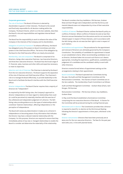### **Corporate governance**

The role of the Board The Board of Directors is elected by shareholders to govern in their interests. The Board is the overall and final body responsible for all decision-making within the Company. The Board Charter, which is on the Xero website, describes the Board's role and responsibilities and regulates internal Board procedure.

The Board has the responsibility to work to enhance the value of the Company in the interests of the Company and its shareholders.

Delegation of authority framework To enhance efficiency, the Board has delegated some of its powers to Board Committees and other powers to the Chief Executive Officer. The terms of the delegation by the Board to the Chief Executive Officer are clearly documented.

Membership, size and composition The Board is comprised of six Directors, being a Non-executive Chairman, two Executive Directors, and three Non-executive Directors. The Board has the broad range of IT, financial, sales, business and other skills and expertise necessary to meet its objectives.

Selection and role of Chairman The Chairman is elected by the Board from the non-executive Directors. The Board supports the separation of the role of Chairman and Chief Executive Officer. The Chairman's role is to manage the Board effectively, to provide leadership to the Board and to facilitate the Board's interface with the Chief Executive Officer.

Director independence The Board Charter requires that a majority of Directors be "independent".

As required by the NZX listing rules, the Company's approach to director independence is to have regard to relationships that could (or could be perceived to) materially interfere with the exercise of the unfettered and independent judgement of a director. The NZX listing rules provide guidance as to the types of relationships which constitute 'material relationships', affecting independence or the perception of independence.

The Board will review any determination it makes as to a Director's independence on becoming aware of any information that indicates the Director may have a relevant material relationship with the Company. For this purpose, Directors are required to ensure that they immediately advise of any new or changed relationships to enable the Board to consider and determine the materiality of the relationship.

The Board considers that Guy Haddleton, Phil Norman, Graham Shaw and Sam Morgan were independent and that Rod Drury and Hamish Edwards were not independent by virtue of their executive responsibilities.

Conflicts of interest The Board Charter outlines the Board's policy on conflicts of interest. Where conflicts of interest do exist at law then Directors excuse themselves from discussions and do not receive the relevant paper in respect of those interests, and in accordance with the NZX listing rules do not exercise their right to vote in respect of such matters.

Nominations and appointment The procedures for the appointment and removal of Directors are ultimately governed by the Company's Constitution. The suitability of candidates for appointment is based on pre-established criteria. When recommending candidates to act as Director, the Board takes into account such factors as it deems appropriate, including the experience, qualifications, availability and judgement of a candidate and the candidate's ability to work with other Directors.

Directors receive formal letters of appointment setting out the arrangements relating to their appointment.

Board Committees The Board operated two Committees during the year, the Audit and Risk Management Committee and the Remuneration Committee. The Charters of each Committee are on the Xero website. The membership of each Committee is as follows:

Audit and Risk Management Committee – Graham Shaw (Chair), Sam Morgan, Phil Norman

Remuneration Committee – Phil Norman (Chair), Guy Haddleton, Graham Shaw

In May 2008 the Board established a Nominations Committee comprising the non-executive directors of the Board. A Charter for the Committee will be produced during the coming financial year.

Retirement and re-election The Constitution provides that a Director is required to stand for re-election at the third Annual Meeting following the Director's appointment or three years, whichever is the longer.

Director remuneration Directors fees have been previously set at \$250,000 for the non-executive Directors. The fees for the past year were \$180,000, in line with planned levels.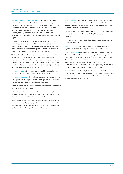Board access to information and advice The Directors generally receive materials for Board meetings five days in advance, except in the case of special meetings for which the time period may be shorter due to the urgency of the matter to be considered. The Company Secretary is responsible for supporting the effectiveness of the Board by ensuring that policies and procedures are followed and co-ordinating the completion and dispatch of the Board agenda and papers.

All Directors have access to Executives, including the Company Secretary, to discuss issues or obtain information on specific areas in relation to items to be considered at the Board meeting or other areas as they consider appropriate. Further, Directors have unrestricted access to company records and information.

The Board, the Board Committees and each Director has the right, subject to the approval of the Chairman, to seek independent professional advice at the Company's expense to assist them to carry out their responsibilities. Further, the Board and Board Committees have the authority to secure the attendance at meetings of outsiders with relevant experience and expertise.

Director education All Directors are responsible for ensuring they remain current in understanding their duties as a Director.

Directors' share ownership All Directors and employees are required to comply with the Company's Insider Trading Policy and Guidelines, in undertaking any trading in the Company's shares.

Details of the Directors' shareholdings are included in the Disclosures sections of this Annual Report.

Indemnities and insurance Deeds of Indemnity have been given to Directors in relation to potential liabilities and costs they may incur for acts or omissions in their capacity as Directors.

The Directors and Officers liability insurance covers risks normally covered by such policies arising out of acts or omissions of Directors and employees in their capacity as such. Insurance is not provided for dishonest, fraudulent, malicious or willful acts or omissions.

Board meetings Board meetings are held each month and additional meetings are held when necessary. At each meeting the Board considers items of key financial and operational information as well as matters of strategic importance.

Executives and other senior people regularly attend Board meetings and are also available to be contacted by Directors between meetings.

Directors who are not members of the Committees may attend the Committee meetings.

Board performance Board and Committee performance is subject to regular discussion at meetings of the Board and Committees.

Audit independence One of the main purposes of the Audit and Risk Management Committee is to ensure the quality and independence of the audit process. The Chairman of the Committee and General Manager Finance work with the external auditors to plan the audit approach. All aspects of the audit are reported back to the Committee and the auditors are given the opportunity at Committee meetings to meet in executive session with the Board.

Ethics The Board maintains high standards of ethical conduct and the Chief Executive Officer is responsible for ensuring that high standards of conduct are maintained by all staff, although no formal code of ethics is documented at this time.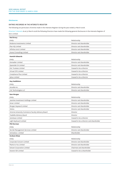### **Disclosures**

### **Entries recorded in the interests register**

The following are particulars of entries made in the Interests Register during the year ended 31 March 2008.

Directors' interests As at 31 March 2008 the following Directors have made the following general disclosures in the Interests Register of Xero Limited.

| <b>Rod Drury</b>                                    |                                         |
|-----------------------------------------------------|-----------------------------------------|
| Entity                                              | Relationship                            |
| Rodanna Investments Limited                         | Director and shareholder                |
| Plan HQ Limited                                     | Director and shareholder                |
| Infinitus 2007 Limited                              | Director and shareholder                |
| Aranui Consulting Limited                           | Director and shareholder                |
| <b>Hamish Edwards</b>                               |                                         |
| Entity                                              | Relationship                            |
| <b>Grenadier Limited</b>                            | Director and shareholder                |
| Openside CA Limited                                 | Director and shareholder                |
| <b>EAL Trustees Limited</b>                         | Ceased to be a director                 |
| Virtual CFO Limited                                 | Ceased to be a director                 |
| Compliance Plus Limited                             | Ceased to be a director                 |
| <b>Eplus Limited</b>                                | Ceased to be a director                 |
| <b>Guy Haddleton</b>                                |                                         |
| Entity                                              | Relationship                            |
| Ascadia Inc.                                        | Director and shareholder                |
| C <sub>2</sub> C Technologies LLC                   | Director and shareholder                |
|                                                     |                                         |
| <b>Sam Morgan</b>                                   | Relationship                            |
| Entity<br>Jasmine Investment Holdings Limited       | Director and shareholder                |
| Sonar Limited                                       | Director and shareholder                |
| Morgan Hayward Limited                              | Director and shareholder                |
| iVistra                                             | Director and shareholder                |
| Victoria University Commerce Faculty Advisory Board | Director                                |
| TradeMe Advisory Board                              | Director                                |
| Autobase Limited                                    | Ceased to be a director                 |
| Light Keyboard Limited                              | Ceased to be a director and shareholder |
| <b>Phil Norman</b>                                  |                                         |
| Entity                                              | Relationship                            |
| Nortek Management Services Limited                  | Director and shareholder                |
| Activedocs Limited                                  | Shareholder                             |
| <b>Graham Shaw</b>                                  |                                         |
| Entity                                              | Relationship                            |
| Corporate Concern Limited                           | Director and shareholder                |
| Plants to You Limited                               | Director and shareholder                |
| Solvam Corporation Limited                          | Chairman and shareholder                |
| Downer EDI Limited                                  | Ceased to be a shareholder              |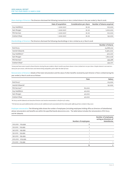Share dealings of Directors The Directors disclosed the following transactions in Xero Limited shares in the year ended 31 March 2008.

|               | Date of acquisition | Consideration per share | Number of shares acquired |
|---------------|---------------------|-------------------------|---------------------------|
| Guy Haddleton | 1 June 2007         | \$1.00                  | 100,000                   |
| Sam Morgan    | 1 June 2007         | \$1.00                  | 1,000,000                 |
| Phil Norman   | 1 June 2007         | \$1.00                  | 100,000                   |
| Graham Shaw   | 1 June 2007         | \$1.00                  | 150,000                   |
|               |                     |                         |                           |

Shareholdings of Directors The Directors disclosed the following shareholdings in Xero Limited as at 31 March 2008

|                | Number of shares |
|----------------|------------------|
| Rod Drury      | 24,668,002       |
| Hamish Edwards | 6,960,000        |
| Guy Haddleton* | 300,007          |
| Sam Morgan     | 1,800,006        |
| Phil Norman*   | 499,968          |
| Graham Shaw*   | 594,001          |

*\*Unsecured loans were issued to these Directors during the year ended 31 March 2008 to purchase shares in Xero Limited at \$1.00 per share. Simple interest is accrued at a rate of 4% per annum, with the loans and interest being repayable 5 years after the date of issue.*

Remuneration of Directors Details of the total remuneration and the value of other benefits received by each Director of Xero Limited during the year ended 31 March 2008 are as follows:

|                 | Fees   | Salary  |
|-----------------|--------|---------|
| Rod Drury*      |        | 213,000 |
| Hamish Edwards* |        | 191,000 |
| Phil Norman**   | 60,000 |         |
| Guy Haddleton   | 40,000 |         |
| Sam Morgan      | 40,000 |         |
| Graham Shaw     | 40,000 |         |

*\*Mr Drury and Mr Edwards are Executive Directors and receive remuneration in the form of a salary.* 

*\*\*Mr Norman was paid additional fees of \$16,000 for additional work associated with the initial public offering of Xero Limited in May 2007.*

Employee remuneration The following table shows the number of employees (including employees holding office as Directors of Subsidiaries) whose remuneration and benefits are within the specified bands above \$100,000. The table below includes the remuneration of Mr Drury and Mr Edwards.

|                   | Number of employees | Number of employees<br>acting as Directors of<br><b>Subsidiaries</b> |
|-------------------|---------------------|----------------------------------------------------------------------|
| 100,000 - 109,999 | 6                   |                                                                      |
| 120,000 - 129,999 | $\overline{2}$      |                                                                      |
| 140,000 - 149,999 |                     |                                                                      |
| 150,000 - 159,999 |                     |                                                                      |
| 190,000 - 199,999 |                     |                                                                      |
| 200,000 - 209,999 |                     |                                                                      |
| 210,000 - 219,999 |                     |                                                                      |
|                   | 13                  | 2                                                                    |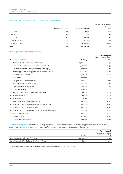### Distribution of quoted security holders and security holdings as at 16 May 2008

|                   |                   |                  | Percentage of issued<br>capital |
|-------------------|-------------------|------------------|---------------------------------|
|                   | Number of holders | Number of shares | $(\%)$                          |
| 1 to 1,000        | 195               | 176,738          | 0.32                            |
| 1,001 to 5,000    | 612               | 2,119,987        | 3.82                            |
| 5,001 to 10,000   | 254               | 2,208,633        | 3.98                            |
| 10,001 to 100,000 | 169               | 4,855,979        | 8.76                            |
| 100,001 and Over  | 35                | 46,099,356       | 83.12                           |
| Total             | 1,265             | 55,460,693       | 100.00                          |

### Twenty largest shareholders as at 16 May 2008

|                 |                                                         |            | Percentage of<br>total shares on issue |
|-----------------|---------------------------------------------------------|------------|----------------------------------------|
|                 | Holder name and rank                                    | Holding    | (0/0)                                  |
| $\mathbf{1}$    | Anna Stuck & Kenneth Drury (Rod Drury)                  | 24,668,002 | 44.48                                  |
| $\overline{2}$  | Hamish Edwards & Tineke Edwards & Andrew Finch          | 6,960,000  | 12.55                                  |
| 3               | Jasmine Investment Holdings Limited (Sam Morgan)        | 1,800,006  | 3.25                                   |
| 4               | Anna Grigg & Alastair Grigg & Claymore Trustees Limited | 1,600,011  | 2.88                                   |
| 5.              | FNZ Custodians Limited                                  | 1,140,647  | 2.06                                   |
| 6               | W5 Limited                                              | 1,000,006  | 1.80                                   |
|                 | Craig Walker & Catherine Walker                         | 659,994    | 1.19                                   |
| 8               | Anthony Bishop & Andrew Finch                           | 599,998    | 1.08                                   |
| 9               | Graham Shaw & Delwyn Shaw                               | 594,001    | 1.07                                   |
| 10 <sup>2</sup> | David Edward Kirk                                       | 559,400    | 1.01                                   |
| 11              | Hubbard Churcher Trust Management Limited               | 500,000    | 0.90                                   |
| 12              | Sparkbox Limited                                        | 500,000    | 0.90                                   |
| 13              | Phil Norman                                             | 499,991    | 0.90                                   |
| 14              | Fletcher Brown & Karen Oakley-Harness                   | 464,000    | 0.84                                   |
| 15              | Philip Fierlinger & Hadley Fierlinger & Murray Haddon   | 464,000    | 0.84                                   |
| 16              | Ed Robinson & Catherine Robinson                        | 464,000    | 0.84                                   |
| 17              | Shayne Patrick Hodge & Lynden Hodge & Nigel Munro Moody | 461,591    | 0.83                                   |
| 18              | Xero Trustee Limited                                    | 460,693    | 0.83                                   |
| 19              | Guy Haddleton                                           | 300,007    | O.54                                   |
| 20              | Dagger Nominees Limited                                 | 250,000    | 0.45                                   |

Substantial security holders According to notices given under the Securities Markets Act 1988 the following persons were substantial security holders in Xero Limited as at 16 May 2008 in respect of the number of voting securities set opposite their names:

|                                                |            | Percentage of<br>total shares on issue |
|------------------------------------------------|------------|----------------------------------------|
|                                                | Holding    | (0/0)                                  |
| Anna Stuck & Kenneth Drury (Rod Drury)         | 24,668,002 | 44.48                                  |
| Hamish Edwards & Tineke Edwards & Andrew Finch | 6,960,000  | 12.55                                  |

The total number of issued voting securities of Xero Limited as at 16 May 2008 was 55,460,693.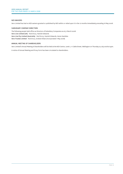### **NZX Waivers**

Xero Limited has had no NZX waivers granted or published by NZX within or relied upon it in the 12 months immediately preceding 16 May 2008.

### **SUBSIDIARY COMPANY DIRECTORS**

The following people held office as Directors of Subsidiary Companies as at 31 March 2008: Xero Live Limited (UK) - Rod Drury, Hamish Edwards Xero Live Pty Limited (Australia) - Rod Drury, Hamish Edwards, Karen Gambles Xero Trustee Limited - Rod Drury, Graham Shaw (incorporated 1 May 2008)

### **ANNUAL MEETING OF SHAREHOLDERS**

Xero Limited's Annual Meeting of shareholders will be held at the NZX Centre, Level 2, 11 Cable Street, Wellington on Thursday 24 July 2008 at 4pm.

A notice of Annual Meeting and Proxy Form has been circulated to shareholders.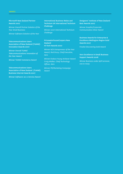### Microsoft New Zealand Partner Awards 2007

*Winner Overall Partner Solution of the Year Small Business*

*Winner Software Solution of the Year* 

### Telecommunications Users Association of New Zealand (TUANZ) Innovation Awards 2007

*Winner Overall TUANZ Telecommunications Innovation of the Year Award* 

*Winner TUANZ Commerce Award* 

Telecommunications Users Association of New Zealand (TUANZ) Business Internet Awards 2007

*Winner Software-as-a-Service Award*

### International Business Wales and Technium UK International Technium Challenge

*Winner 2007 International Technium Challenge* 

### PricewaterhouseCoopers New Zealand Hi-Tech Awards 2007

*Winner NZX Entrepreneur of the Year Award, Rod Drury, Chief Executive, Xero* 

*Winner Endace Young Achiever Award Craig Walker, Chief Technology Officer, Xero* 

*Winner PR/Marketing Campaign Award* 

### Designers' Institute of New Zealand Best Awards 2007

*Winner Graphic/Corporate Communication Silver Award*

Business Awards for Enterprise & Excellence Wellington Region Gold Awards 2007

*Finalist Discovering Gold Award* 

Vero Excellence In Small Business Support Awards 2008

*Winner Business under \$5M turnover, one to many*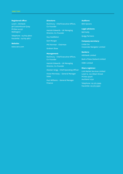### **Registered office:**

Level 1, Old Bank 98 Customhouse Quay PO Box 24 537 Wellington

Telephone: 04 819 4800 Facsimile: 04 819 4801

### **Website:**

www.xero.com

### **Directors:**

Rod Drury - Chief Executive Officer, Co-Founder

Hamish Edwards - UK Managing Director, Co-Founder

Guy Haddleton

Sam Morgan

Phil Norman - Chairman

Graham Shaw

### **Management:**

Rod Drury - Chief Executive Officer, Co-Founder

Hamish Edwards - UK Managing Director, Co-Founder

Alastair Grigg - Chief Operating Officer

Vivian Morresey – General Manager Sales

Paul Williams – General Manager Finance

### **Auditors:** BDO Spicers

**Legal advisors:** Bell Gully Quigg Partners

**Company secretary:** Linda Cox Corporate Navigator Limited

**Bankers:** ASB Bank Limited Bank of New Zealand Limited HSBC Limited

### **Share registrar:**

Link Market Services Limited Level 12, 120 Albert Street PO Box 91976 Auckland 1030

Telephone: 09 375 5999 Facsimile: 09 375 5990